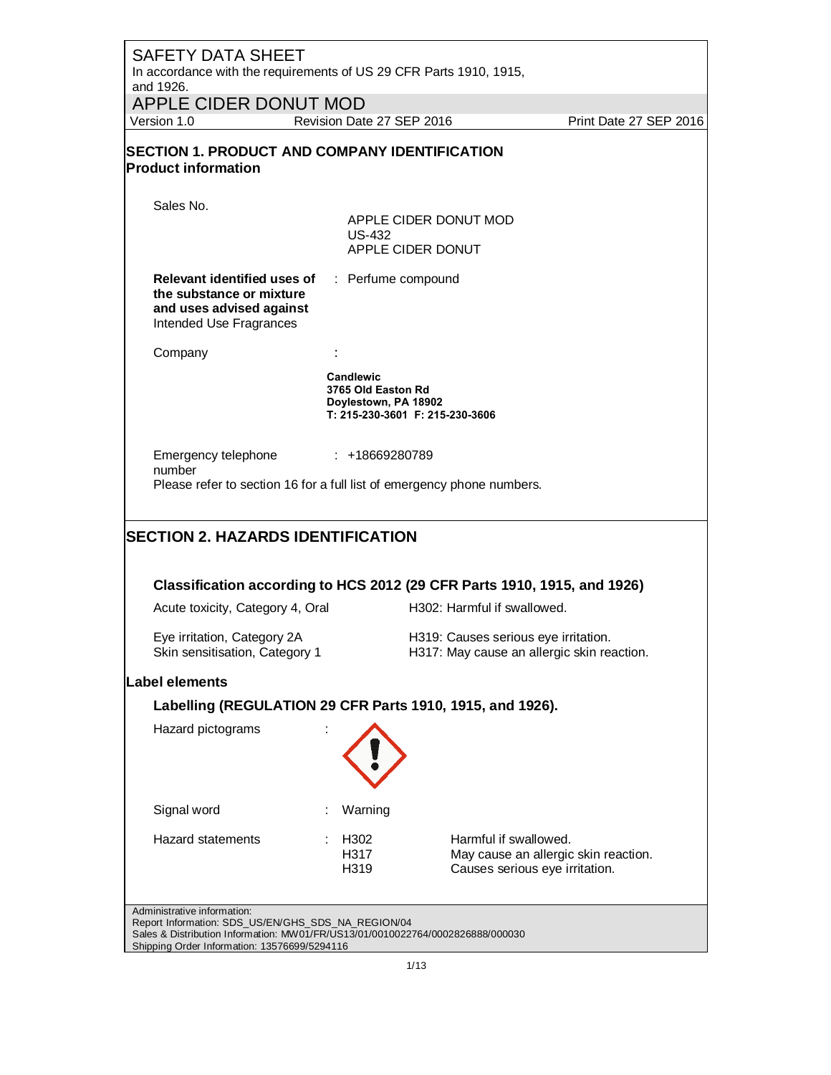| <b>SAFETY DATA SHEET</b>                                                                                                                                                                                            |                                                                |                                                                                    |                                      |
|---------------------------------------------------------------------------------------------------------------------------------------------------------------------------------------------------------------------|----------------------------------------------------------------|------------------------------------------------------------------------------------|--------------------------------------|
| In accordance with the requirements of US 29 CFR Parts 1910, 1915,<br>and 1926.                                                                                                                                     |                                                                |                                                                                    |                                      |
| APPLE CIDER DONUT MOD                                                                                                                                                                                               |                                                                |                                                                                    |                                      |
| Version 1.0                                                                                                                                                                                                         | Revision Date 27 SEP 2016                                      |                                                                                    | Print Date 27 SEP 2016               |
| <b>SECTION 1. PRODUCT AND COMPANY IDENTIFICATION</b><br><b>Product information</b>                                                                                                                                  |                                                                |                                                                                    |                                      |
| Sales No.                                                                                                                                                                                                           |                                                                |                                                                                    |                                      |
|                                                                                                                                                                                                                     | US-432                                                         | APPLE CIDER DONUT MOD<br>APPLE CIDER DONUT                                         |                                      |
| <b>Relevant identified uses of Fig. 2.5 Perfume compound</b><br>the substance or mixture<br>and uses advised against<br>Intended Use Fragrances                                                                     |                                                                |                                                                                    |                                      |
| Company                                                                                                                                                                                                             |                                                                |                                                                                    |                                      |
|                                                                                                                                                                                                                     | <b>Candlewic</b><br>3765 Old Easton Rd<br>Doylestown, PA 18902 | T: 215-230-3601 F: 215-230-3606                                                    |                                      |
| Emergency telephone<br>number<br>Please refer to section 16 for a full list of emergency phone numbers.                                                                                                             | $: +18669280789$                                               |                                                                                    |                                      |
| <b>SECTION 2. HAZARDS IDENTIFICATION</b>                                                                                                                                                                            |                                                                |                                                                                    |                                      |
|                                                                                                                                                                                                                     |                                                                |                                                                                    |                                      |
| Classification according to HCS 2012 (29 CFR Parts 1910, 1915, and 1926)                                                                                                                                            |                                                                |                                                                                    |                                      |
| Acute toxicity, Category 4, Oral                                                                                                                                                                                    |                                                                | H302: Harmful if swallowed.                                                        |                                      |
| Eye irritation, Category 2A<br>Skin sensitisation, Category 1                                                                                                                                                       |                                                                | H319: Causes serious eye irritation.<br>H317: May cause an allergic skin reaction. |                                      |
| Label elements                                                                                                                                                                                                      |                                                                |                                                                                    |                                      |
| Labelling (REGULATION 29 CFR Parts 1910, 1915, and 1926).                                                                                                                                                           |                                                                |                                                                                    |                                      |
| Hazard pictograms                                                                                                                                                                                                   |                                                                |                                                                                    |                                      |
| Signal word                                                                                                                                                                                                         | Warning                                                        |                                                                                    |                                      |
| Hazard statements                                                                                                                                                                                                   | H302<br>H317<br>H319                                           | Harmful if swallowed.<br>Causes serious eye irritation.                            | May cause an allergic skin reaction. |
| Administrative information:<br>Report Information: SDS_US/EN/GHS_SDS_NA_REGION/04<br>Sales & Distribution Information: MW01/FR/US13/01/0010022764/0002826888/000030<br>Shipping Order Information: 13576699/5294116 |                                                                |                                                                                    |                                      |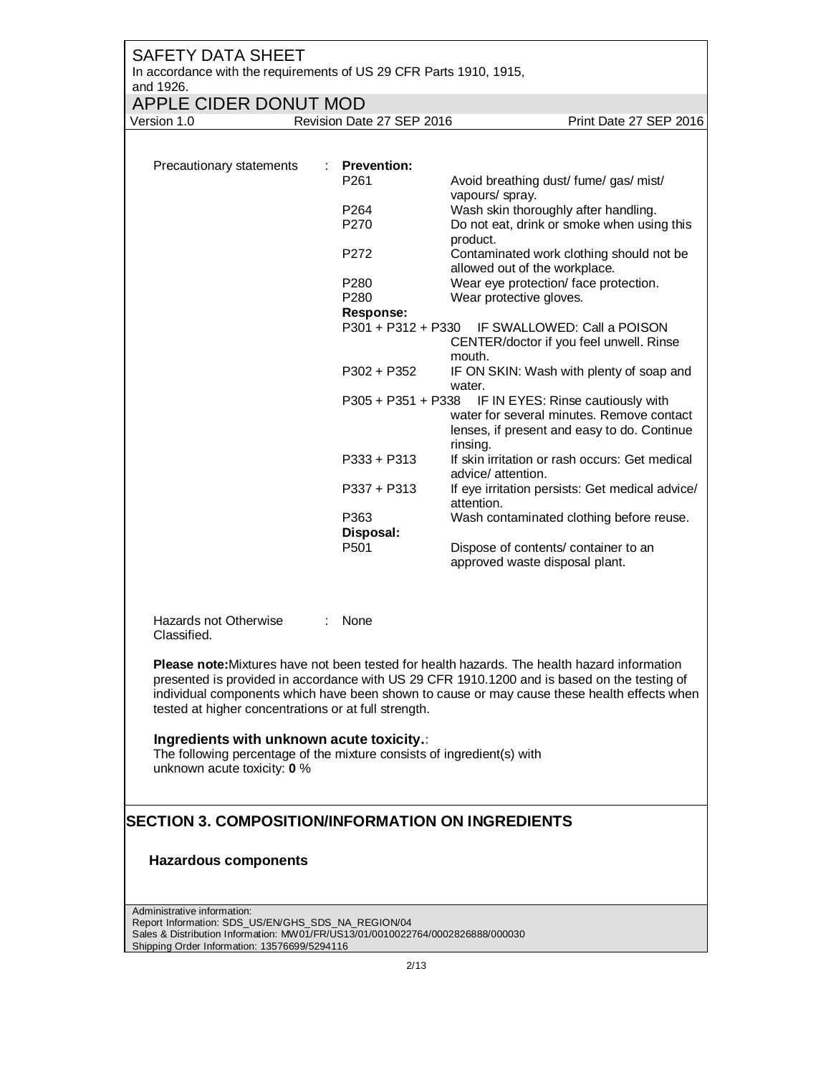| <b>SAFETY DATA SHEET</b><br>In accordance with the requirements of US 29 CFR Parts 1910, 1915,<br>and 1926.                                        |                                             |                                                                                                                                                                                                                                                                                                   |
|----------------------------------------------------------------------------------------------------------------------------------------------------|---------------------------------------------|---------------------------------------------------------------------------------------------------------------------------------------------------------------------------------------------------------------------------------------------------------------------------------------------------|
| <b>APPLE CIDER DONUT MOD</b>                                                                                                                       |                                             |                                                                                                                                                                                                                                                                                                   |
| Version 1.0                                                                                                                                        | Revision Date 27 SEP 2016                   | Print Date 27 SEP 2016                                                                                                                                                                                                                                                                            |
| Precautionary statements                                                                                                                           | <b>Prevention:</b><br>÷<br>P <sub>261</sub> | Avoid breathing dust/ fume/ gas/ mist/                                                                                                                                                                                                                                                            |
|                                                                                                                                                    | P264<br>P270                                | vapours/ spray.<br>Wash skin thoroughly after handling.<br>Do not eat, drink or smoke when using this                                                                                                                                                                                             |
|                                                                                                                                                    | P272                                        | product.<br>Contaminated work clothing should not be<br>allowed out of the workplace.                                                                                                                                                                                                             |
|                                                                                                                                                    | P280<br>P280                                | Wear eye protection/ face protection.<br>Wear protective gloves.                                                                                                                                                                                                                                  |
|                                                                                                                                                    | <b>Response:</b><br>P301 + P312 + P330      | IF SWALLOWED: Call a POISON                                                                                                                                                                                                                                                                       |
|                                                                                                                                                    |                                             | CENTER/doctor if you feel unwell. Rinse<br>mouth.                                                                                                                                                                                                                                                 |
|                                                                                                                                                    | $P302 + P352$                               | IF ON SKIN: Wash with plenty of soap and<br>water.                                                                                                                                                                                                                                                |
|                                                                                                                                                    | $P305 + P351 + P338$                        | IF IN EYES: Rinse cautiously with<br>water for several minutes. Remove contact<br>lenses, if present and easy to do. Continue<br>rinsing.                                                                                                                                                         |
|                                                                                                                                                    | P333 + P313                                 | If skin irritation or rash occurs: Get medical<br>advice/ attention.                                                                                                                                                                                                                              |
|                                                                                                                                                    | $P337 + P313$                               | If eye irritation persists: Get medical advice/<br>attention.                                                                                                                                                                                                                                     |
|                                                                                                                                                    | P363<br>Disposal:<br>P501                   | Wash contaminated clothing before reuse.<br>Dispose of contents/ container to an                                                                                                                                                                                                                  |
|                                                                                                                                                    |                                             | approved waste disposal plant.                                                                                                                                                                                                                                                                    |
| Hazards not Otherwise<br>Classified.                                                                                                               | None                                        |                                                                                                                                                                                                                                                                                                   |
| tested at higher concentrations or at full strength.                                                                                               |                                             | <b>Please note:</b> Mixtures have not been tested for health hazards. The health hazard information<br>presented is provided in accordance with US 29 CFR 1910.1200 and is based on the testing of<br>individual components which have been shown to cause or may cause these health effects when |
| Ingredients with unknown acute toxicity.:<br>The following percentage of the mixture consists of ingredient(s) with<br>unknown acute toxicity: 0 % |                                             |                                                                                                                                                                                                                                                                                                   |
| <b>SECTION 3. COMPOSITION/INFORMATION ON INGREDIENTS</b>                                                                                           |                                             |                                                                                                                                                                                                                                                                                                   |
| <b>Hazardous components</b>                                                                                                                        |                                             |                                                                                                                                                                                                                                                                                                   |
|                                                                                                                                                    |                                             |                                                                                                                                                                                                                                                                                                   |
| Administrative information:<br>Report Information: SDS_US/EN/GHS_SDS_NA_REGION/04                                                                  |                                             |                                                                                                                                                                                                                                                                                                   |

Sales & Distribution Information: MW01/FR/US13/01/0010022764/0002826888/000030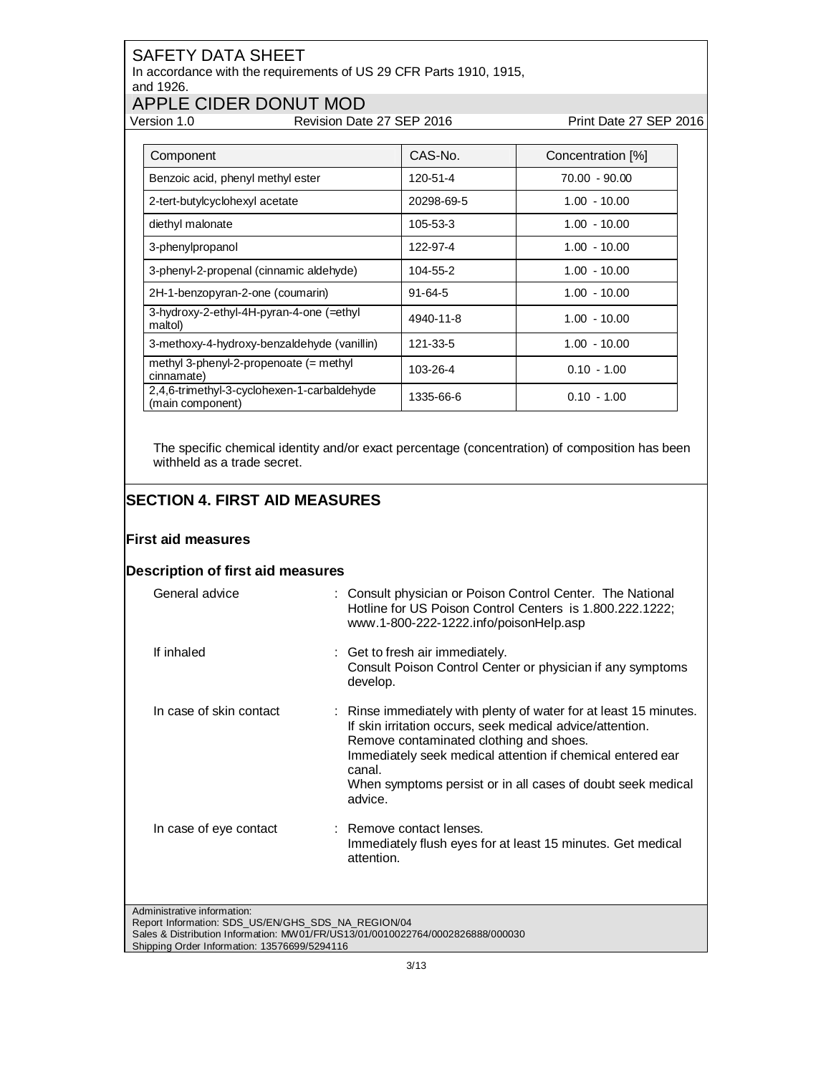In accordance with the requirements of US 29 CFR Parts 1910, 1915, and 1926.

## APPLE CIDER DONUT MOD<br>Version 1.0 Revision Date

Revision Date 27 SEP 2016 Print Date 27 SEP 2016

| Component                                                       | CAS-No.       | Concentration [%] |
|-----------------------------------------------------------------|---------------|-------------------|
| Benzoic acid, phenyl methyl ester                               | 120-51-4      | 70.00 - 90.00     |
| 2-tert-butylcyclohexyl acetate                                  | 20298-69-5    | $1.00 - 10.00$    |
| diethyl malonate                                                | 105-53-3      | $1.00 - 10.00$    |
| 3-phenylpropanol                                                | 122-97-4      | $1.00 - 10.00$    |
| 3-phenyl-2-propenal (cinnamic aldehyde)                         | 104-55-2      | $1.00 - 10.00$    |
| 2H-1-benzopyran-2-one (coumarin)                                | $91 - 64 - 5$ | $1.00 - 10.00$    |
| 3-hydroxy-2-ethyl-4H-pyran-4-one (=ethyl<br>maltol)             | 4940-11-8     | $1.00 - 10.00$    |
| 3-methoxy-4-hydroxy-benzaldehyde (vanillin)                     | 121-33-5      | $1.00 - 10.00$    |
| methyl 3-phenyl-2-propenoate $(=$ methyl<br>cinnamate)          | 103-26-4      | $0.10 - 1.00$     |
| 2,4,6-trimethyl-3-cyclohexen-1-carbaldehyde<br>(main component) | 1335-66-6     | $0.10 - 1.00$     |

The specific chemical identity and/or exact percentage (concentration) of composition has been withheld as a trade secret.

### **SECTION 4. FIRST AID MEASURES**

#### **First aid measures**

#### **Description of first aid measures**

| General advice                                                                    | : Consult physician or Poison Control Center. The National<br>Hotline for US Poison Control Centers is 1.800.222.1222;<br>www.1-800-222-1222.info/poisonHelp.asp                                                                                                                                                            |
|-----------------------------------------------------------------------------------|-----------------------------------------------------------------------------------------------------------------------------------------------------------------------------------------------------------------------------------------------------------------------------------------------------------------------------|
| If inhaled                                                                        | : Get to fresh air immediately.<br>Consult Poison Control Center or physician if any symptoms<br>develop.                                                                                                                                                                                                                   |
| In case of skin contact                                                           | : Rinse immediately with plenty of water for at least 15 minutes.<br>If skin irritation occurs, seek medical advice/attention.<br>Remove contaminated clothing and shoes.<br>Immediately seek medical attention if chemical entered ear<br>canal.<br>When symptoms persist or in all cases of doubt seek medical<br>advice. |
| In case of eye contact                                                            | : Remove contact lenses.<br>Immediately flush eyes for at least 15 minutes. Get medical<br>attention.                                                                                                                                                                                                                       |
| Administrative information:<br>Report Information: SDS_US/EN/GHS_SDS_NA_REGION/04 | Sales & Distribution Information: MW01/FR/US13/01/0010022764/0002826888/000030                                                                                                                                                                                                                                              |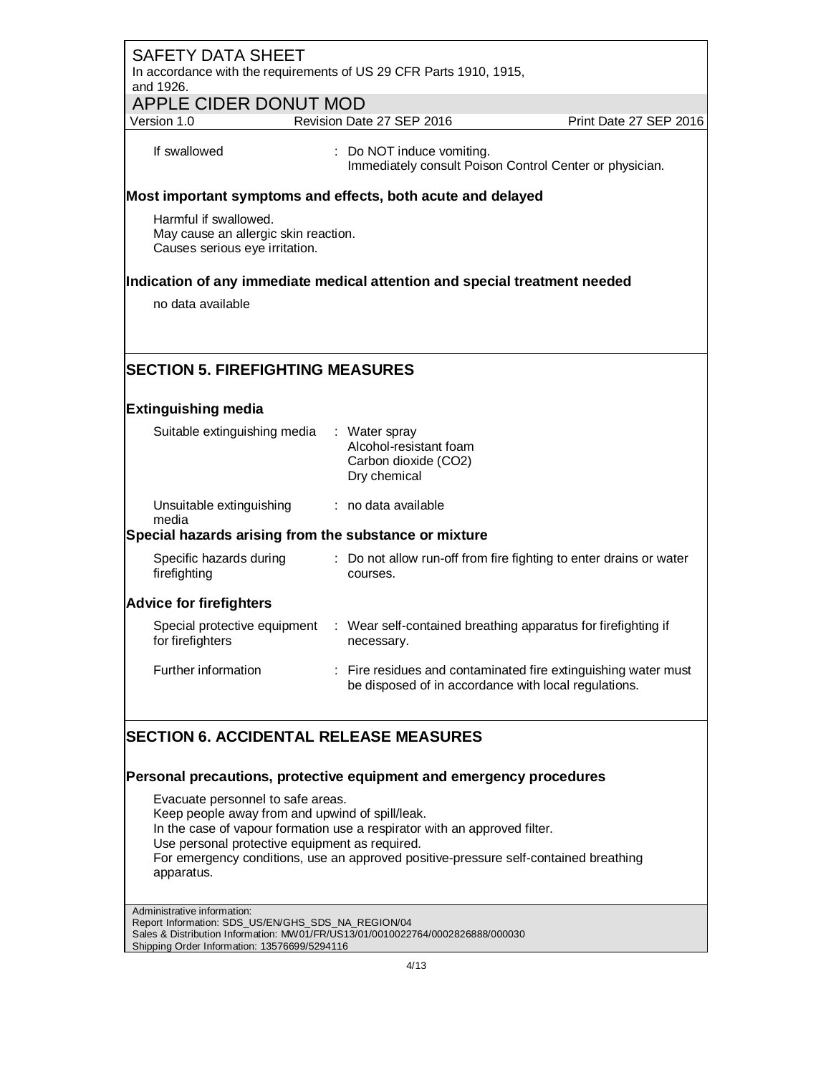| <b>SAFETY DATA SHEET</b><br>In accordance with the requirements of US 29 CFR Parts 1910, 1915,<br>and 1926. |                                                                                                          |                                                                |
|-------------------------------------------------------------------------------------------------------------|----------------------------------------------------------------------------------------------------------|----------------------------------------------------------------|
| <b>APPLE CIDER DONUT MOD</b><br>Version 1.0                                                                 | Revision Date 27 SEP 2016                                                                                | Print Date 27 SEP 2016                                         |
| If swallowed                                                                                                | : Do NOT induce vomiting.<br>Immediately consult Poison Control Center or physician.                     |                                                                |
| Most important symptoms and effects, both acute and delayed                                                 |                                                                                                          |                                                                |
| Harmful if swallowed.<br>May cause an allergic skin reaction.<br>Causes serious eye irritation.             |                                                                                                          |                                                                |
| Indication of any immediate medical attention and special treatment needed                                  |                                                                                                          |                                                                |
| no data available                                                                                           |                                                                                                          |                                                                |
|                                                                                                             |                                                                                                          |                                                                |
| <b>SECTION 5. FIREFIGHTING MEASURES</b>                                                                     |                                                                                                          |                                                                |
|                                                                                                             |                                                                                                          |                                                                |
| <b>Extinguishing media</b>                                                                                  |                                                                                                          |                                                                |
| Suitable extinguishing media                                                                                | : Water spray<br>Alcohol-resistant foam<br>Carbon dioxide (CO2)<br>Dry chemical                          |                                                                |
| Unsuitable extinguishing<br>media                                                                           | : no data available                                                                                      |                                                                |
| Special hazards arising from the substance or mixture                                                       |                                                                                                          |                                                                |
| Specific hazards during<br>firefighting                                                                     | : Do not allow run-off from fire fighting to enter drains or water<br>courses.                           |                                                                |
| <b>Advice for firefighters</b>                                                                              |                                                                                                          |                                                                |
| for firefighters                                                                                            | Special protective equipment : Wear self-contained breathing apparatus for firefighting if<br>necessary. |                                                                |
| Further information                                                                                         | be disposed of in accordance with local regulations.                                                     | : Fire residues and contaminated fire extinguishing water must |
| <b>SECTION 6. ACCIDENTAL RELEASE MEASURES</b>                                                               |                                                                                                          |                                                                |
| Personal precautions, protective equipment and emergency procedures                                         |                                                                                                          |                                                                |
| Evacuate personnel to safe areas.<br>Keep people away from and upwind of spill/leak.                        |                                                                                                          |                                                                |
|                                                                                                             | In the case of vapour formation use a respirator with an approved filter.                                |                                                                |
| Use personal protective equipment as required.<br>apparatus.                                                | For emergency conditions, use an approved positive-pressure self-contained breathing                     |                                                                |
| Administrative information:<br>Report Information: SDS_US/EN/GHS_SDS_NA_REGION/04                           |                                                                                                          |                                                                |

Sales & Distribution Information: MW01/FR/US13/01/0010022764/0002826888/000030 Shipping Order Information: 13576699/5294116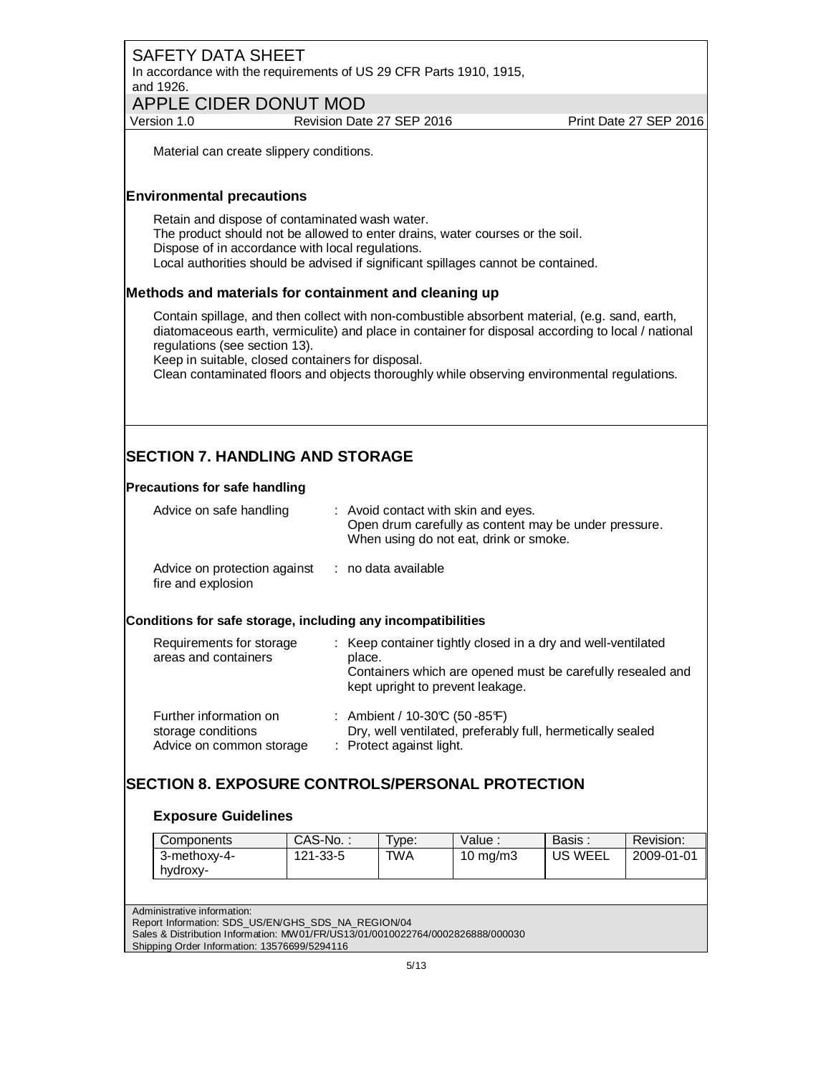In accordance with the requirements of US 29 CFR Parts 1910, 1915, and 1926.

**APPLE CIDER DONUT MOD**<br>Version 1.0 Revision Dat

Revision Date 27 SEP 2016 Print Date 27 SEP 2016

Material can create slippery conditions.

#### **Environmental precautions**

Retain and dispose of contaminated wash water. The product should not be allowed to enter drains, water courses or the soil. Dispose of in accordance with local regulations. Local authorities should be advised if significant spillages cannot be contained.

#### **Methods and materials for containment and cleaning up**

Contain spillage, and then collect with non-combustible absorbent material, (e.g. sand, earth, diatomaceous earth, vermiculite) and place in container for disposal according to local / national regulations (see section 13).

Keep in suitable, closed containers for disposal.

Clean contaminated floors and objects thoroughly while observing environmental regulations.

## **SECTION 7. HANDLING AND STORAGE**

#### **Precautions for safe handling**

| Advice on safe handling                            | : Avoid contact with skin and eyes.<br>Open drum carefully as content may be under pressure.<br>When using do not eat, drink or smoke. |
|----------------------------------------------------|----------------------------------------------------------------------------------------------------------------------------------------|
| Advice on protection against<br>fire and explosion | : no data available                                                                                                                    |

#### **Conditions for safe storage, including any incompatibilities**

| Requirements for storage<br>areas and containers | : Keep container tightly closed in a dry and well-ventilated<br>place.<br>Containers which are opened must be carefully resealed and<br>kept upright to prevent leakage. |
|--------------------------------------------------|--------------------------------------------------------------------------------------------------------------------------------------------------------------------------|
| Further information on                           | : Ambient / $10-30C$ (50 - 85 F)                                                                                                                                         |
| storage conditions                               | Dry, well ventilated, preferably full, hermetically sealed                                                                                                               |
| Advice on common storage                         | : Protect against light.                                                                                                                                                 |

### **SECTION 8. EXPOSURE CONTROLS/PERSONAL PROTECTION**

#### **Exposure Guidelines**

| <b>Components</b> | CAS-No.: | $T$ <sub>VDe:</sub> | Value :           | Basis . | Revision:  |
|-------------------|----------|---------------------|-------------------|---------|------------|
| 3-methoxy-4-      | 121-33-5 | TWA                 | $10 \text{ mg/m}$ | US WEEL | 2009-01-01 |
| hvdroxy-          |          |                     |                   |         |            |

Administrative information:

Report Information: SDS\_US/EN/GHS\_SDS\_NA\_REGION/04

Sales & Distribution Information: MW01/FR/US13/01/0010022764/0002826888/000030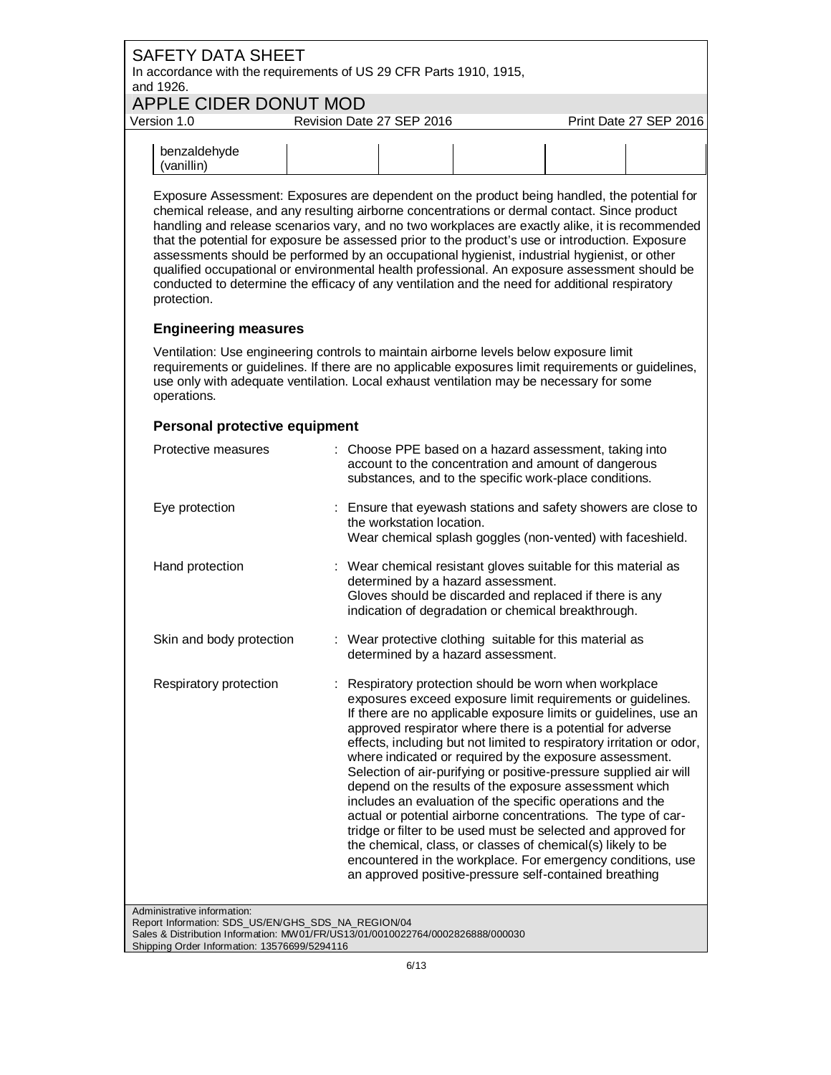| <b>SAFETY DATA SHEET</b><br>and 1926.                                             | In accordance with the requirements of US 29 CFR Parts 1910, 1915,                                                                                                                                                                                                                                                                                                                                                                                                                                                                                                                                                                                                                                     |                                                                                                                                                                                                                                                                                                                                                                                                                                                                                |  |
|-----------------------------------------------------------------------------------|--------------------------------------------------------------------------------------------------------------------------------------------------------------------------------------------------------------------------------------------------------------------------------------------------------------------------------------------------------------------------------------------------------------------------------------------------------------------------------------------------------------------------------------------------------------------------------------------------------------------------------------------------------------------------------------------------------|--------------------------------------------------------------------------------------------------------------------------------------------------------------------------------------------------------------------------------------------------------------------------------------------------------------------------------------------------------------------------------------------------------------------------------------------------------------------------------|--|
|                                                                                   | APPLE CIDER DONUT MOD                                                                                                                                                                                                                                                                                                                                                                                                                                                                                                                                                                                                                                                                                  |                                                                                                                                                                                                                                                                                                                                                                                                                                                                                |  |
| Version 1.0                                                                       | Revision Date 27 SEP 2016                                                                                                                                                                                                                                                                                                                                                                                                                                                                                                                                                                                                                                                                              | Print Date 27 SEP 2016                                                                                                                                                                                                                                                                                                                                                                                                                                                         |  |
| benzaldehyde<br>(vanillin)                                                        |                                                                                                                                                                                                                                                                                                                                                                                                                                                                                                                                                                                                                                                                                                        |                                                                                                                                                                                                                                                                                                                                                                                                                                                                                |  |
| protection.                                                                       | Exposure Assessment: Exposures are dependent on the product being handled, the potential for<br>chemical release, and any resulting airborne concentrations or dermal contact. Since product<br>handling and release scenarios vary, and no two workplaces are exactly alike, it is recommended<br>that the potential for exposure be assessed prior to the product's use or introduction. Exposure<br>assessments should be performed by an occupational hygienist, industrial hygienist, or other<br>qualified occupational or environmental health professional. An exposure assessment should be<br>conducted to determine the efficacy of any ventilation and the need for additional respiratory |                                                                                                                                                                                                                                                                                                                                                                                                                                                                                |  |
| <b>Engineering measures</b>                                                       |                                                                                                                                                                                                                                                                                                                                                                                                                                                                                                                                                                                                                                                                                                        |                                                                                                                                                                                                                                                                                                                                                                                                                                                                                |  |
| operations.                                                                       | Ventilation: Use engineering controls to maintain airborne levels below exposure limit<br>requirements or guidelines. If there are no applicable exposures limit requirements or guidelines,<br>use only with adequate ventilation. Local exhaust ventilation may be necessary for some                                                                                                                                                                                                                                                                                                                                                                                                                |                                                                                                                                                                                                                                                                                                                                                                                                                                                                                |  |
| Personal protective equipment                                                     |                                                                                                                                                                                                                                                                                                                                                                                                                                                                                                                                                                                                                                                                                                        |                                                                                                                                                                                                                                                                                                                                                                                                                                                                                |  |
| Protective measures                                                               | : Choose PPE based on a hazard assessment, taking into<br>account to the concentration and amount of dangerous<br>substances, and to the specific work-place conditions.                                                                                                                                                                                                                                                                                                                                                                                                                                                                                                                               |                                                                                                                                                                                                                                                                                                                                                                                                                                                                                |  |
| Eye protection                                                                    | the workstation location.                                                                                                                                                                                                                                                                                                                                                                                                                                                                                                                                                                                                                                                                              | : Ensure that eyewash stations and safety showers are close to<br>Wear chemical splash goggles (non-vented) with faceshield.                                                                                                                                                                                                                                                                                                                                                   |  |
| Hand protection                                                                   | : Wear chemical resistant gloves suitable for this material as<br>determined by a hazard assessment.<br>Gloves should be discarded and replaced if there is any<br>indication of degradation or chemical breakthrough.                                                                                                                                                                                                                                                                                                                                                                                                                                                                                 |                                                                                                                                                                                                                                                                                                                                                                                                                                                                                |  |
| Skin and body protection                                                          | : Wear protective clothing suitable for this material as<br>determined by a hazard assessment.                                                                                                                                                                                                                                                                                                                                                                                                                                                                                                                                                                                                         |                                                                                                                                                                                                                                                                                                                                                                                                                                                                                |  |
| Respiratory protection                                                            | Respiratory protection should be worn when workplace<br>approved respirator where there is a potential for adverse<br>where indicated or required by the exposure assessment.<br>depend on the results of the exposure assessment which<br>includes an evaluation of the specific operations and the<br>the chemical, class, or classes of chemical(s) likely to be<br>an approved positive-pressure self-contained breathing                                                                                                                                                                                                                                                                          | exposures exceed exposure limit requirements or guidelines.<br>If there are no applicable exposure limits or guidelines, use an<br>effects, including but not limited to respiratory irritation or odor,<br>Selection of air-purifying or positive-pressure supplied air will<br>actual or potential airborne concentrations. The type of car-<br>tridge or filter to be used must be selected and approved for<br>encountered in the workplace. For emergency conditions, use |  |
| Administrative information:<br>Report Information: SDS_US/EN/GHS_SDS_NA_REGION/04 |                                                                                                                                                                                                                                                                                                                                                                                                                                                                                                                                                                                                                                                                                                        |                                                                                                                                                                                                                                                                                                                                                                                                                                                                                |  |

Sales & Distribution Information: MW01/FR/US13/01/0010022764/0002826888/000030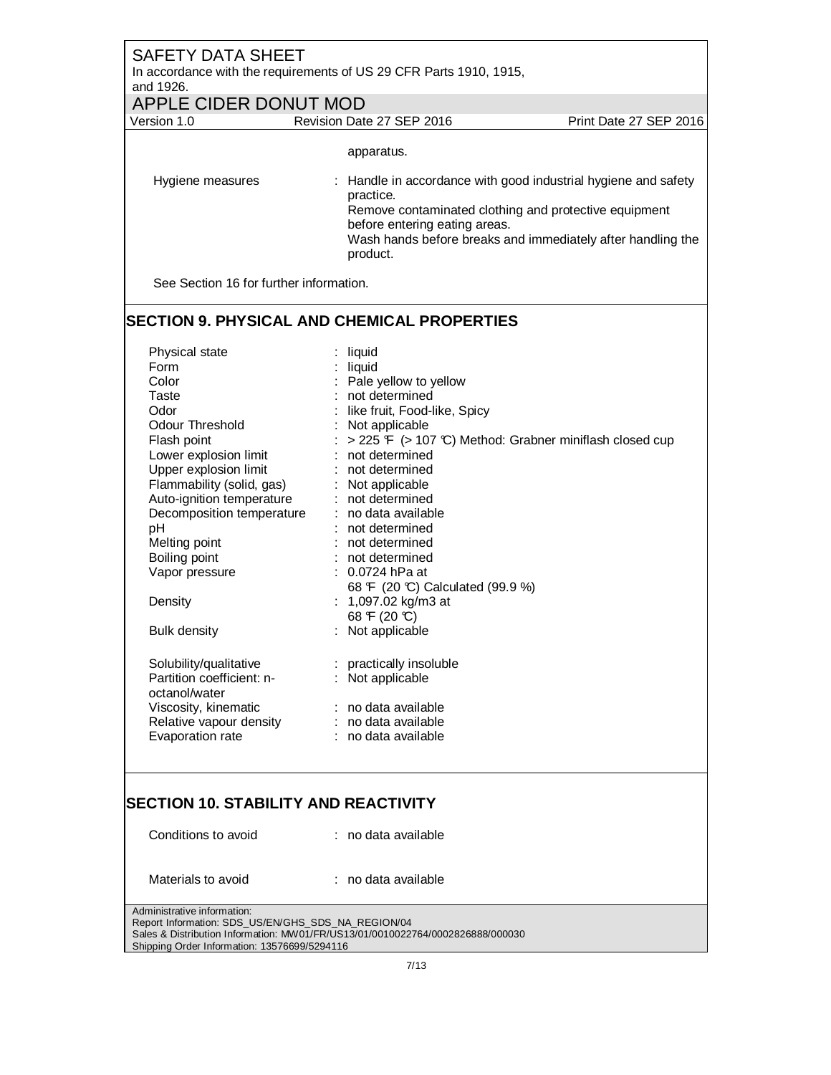## SAFETY DATA SHEET In accordance with the requirements of US 29 CFR Parts 1910, 1915, and 1926. APPLE CIDER DONUT MOD<br>Version 1.0 Revision Date Revision Date 27 SEP 2016 Print Date 27 SEP 2016 apparatus. Hygiene measures : Handle in accordance with good industrial hygiene and safety practice. Remove contaminated clothing and protective equipment before entering eating areas. Wash hands before breaks and immediately after handling the product. See Section 16 for further information.

### **SECTION 9. PHYSICAL AND CHEMICAL PROPERTIES**

| Physical state            | : liquid                                                |
|---------------------------|---------------------------------------------------------|
| Form                      | liquid                                                  |
| Color                     | : Pale yellow to yellow                                 |
| Taste                     | : not determined                                        |
| Odor                      | like fruit, Food-like, Spicy                            |
| Odour Threshold           | : Not applicable                                        |
| Flash point               | > 225 F (> 107 °C) Method: Grabner miniflash closed cup |
| Lower explosion limit     | not determined                                          |
| Upper explosion limit     | : not determined                                        |
| Flammability (solid, gas) | : Not applicable                                        |
| Auto-ignition temperature | : not determined                                        |
| Decomposition temperature | : no data available                                     |
| рH                        | not determined                                          |
| Melting point             | : not determined                                        |
| Boiling point             | : not determined                                        |
| Vapor pressure            | 0.0724 hPa at                                           |
|                           | 68 F (20 °C) Calculated (99.9 %)                        |
| Density                   | : 1,097.02 kg/m3 at                                     |
|                           | 68 F (20 °C)                                            |
| <b>Bulk density</b>       | : Not applicable                                        |
|                           |                                                         |
| Solubility/qualitative    | : practically insoluble                                 |
| Partition coefficient: n- | : Not applicable                                        |
| octanol/water             |                                                         |
| Viscosity, kinematic      | : no data available                                     |
| Relative vapour density   | : no data available                                     |
| Evaporation rate          | : no data available                                     |
|                           |                                                         |

#### **SECTION 10. STABILITY AND REACTIVITY**

| Conditions to avoid                                | : no data available                                                            |
|----------------------------------------------------|--------------------------------------------------------------------------------|
| Materials to avoid                                 | : no data available                                                            |
| Administrative information:                        |                                                                                |
| Report Information: SDS US/EN/GHS SDS NA REGION/04 |                                                                                |
|                                                    | Sales & Distribution Information: MW01/FR/US13/01/0010022764/0002826888/000030 |
| Shipping Order Information: 13576699/5294116       |                                                                                |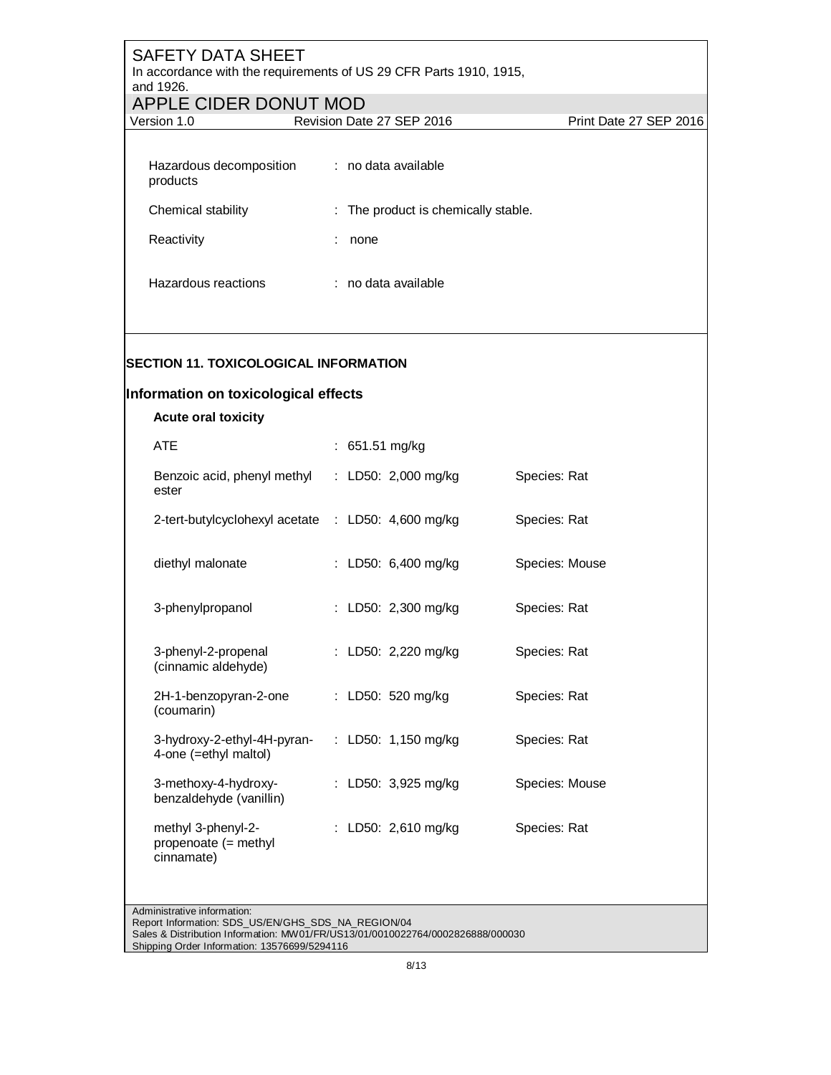## SAFETY DATA SHEET In accordance with the requirements of US 29 CFR Parts 1910, 1915, and 1926. APPLE CIDER DONUT MOD<br>Version 1.0 Revision Date Revision Date 27 SEP 2016 Print Date 27 SEP 2016 Hazardous decomposition : no data available products Chemical stability : The product is chemically stable. Reactivity **in the Reactivity** in the set of the set of the set of the set of the set of the set of the set of the set of the set of the set of the set of the set of the set of the set of the set of the set of the set of t Hazardous reactions : no data available

#### **SECTION 11. TOXICOLOGICAL INFORMATION**

#### **Information on toxicological effects**

| <b>Acute oral toxicity</b>                               |                               |                |
|----------------------------------------------------------|-------------------------------|----------------|
| ATE                                                      | : 651.51 mg/kg                |                |
| Benzoic acid, phenyl methyl<br>ester                     | : LD50: $2,000 \text{ mg/kg}$ | Species: Rat   |
| 2-tert-butylcyclohexyl acetate : LD50: 4,600 mg/kg       |                               | Species: Rat   |
| diethyl malonate                                         | : LD50: 6,400 mg/kg           | Species: Mouse |
| 3-phenylpropanol                                         | : LD50: 2,300 mg/kg           | Species: Rat   |
| 3-phenyl-2-propenal<br>(cinnamic aldehyde)               | : LD50: 2,220 mg/kg           | Species: Rat   |
| 2H-1-benzopyran-2-one<br>(coumarin)                      | : LD50: 520 mg/kg             | Species: Rat   |
| 3-hydroxy-2-ethyl-4H-pyran-<br>4-one (=ethyl maltol)     | : LD50: 1,150 mg/kg           | Species: Rat   |
| 3-methoxy-4-hydroxy-<br>benzaldehyde (vanillin)          | : LD50: 3,925 mg/kg           | Species: Mouse |
| methyl 3-phenyl-2-<br>propenoate (= methyl<br>cinnamate) | : LD50: 2,610 mg/kg           | Species: Rat   |

Administrative information:

Report Information: SDS\_US/EN/GHS\_SDS\_NA\_REGION/04

Sales & Distribution Information: MW01/FR/US13/01/0010022764/0002826888/000030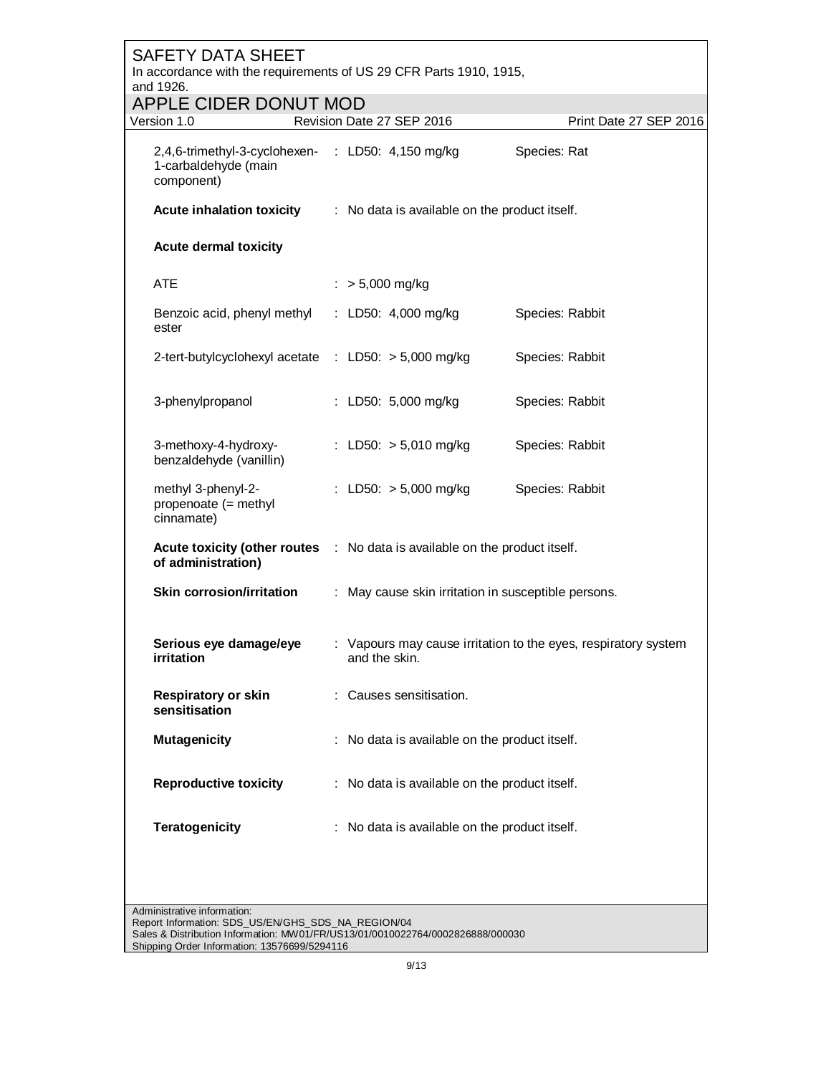| <b>SAFETY DATA SHEET</b><br>In accordance with the requirements of US 29 CFR Parts 1910, 1915,<br>and 1926.                          |  |                                                                                 |                 |                        |
|--------------------------------------------------------------------------------------------------------------------------------------|--|---------------------------------------------------------------------------------|-----------------|------------------------|
| APPLE CIDER DONUT MOD                                                                                                                |  |                                                                                 |                 |                        |
| Version 1.0                                                                                                                          |  | Revision Date 27 SEP 2016                                                       |                 | Print Date 27 SEP 2016 |
| 2,4,6-trimethyl-3-cyclohexen- : LD50: 4,150 mg/kg<br>1-carbaldehyde (main<br>component)                                              |  |                                                                                 | Species: Rat    |                        |
| <b>Acute inhalation toxicity</b>                                                                                                     |  | : No data is available on the product itself.                                   |                 |                        |
| <b>Acute dermal toxicity</b>                                                                                                         |  |                                                                                 |                 |                        |
| <b>ATE</b>                                                                                                                           |  | $:$ > 5,000 mg/kg                                                               |                 |                        |
| Benzoic acid, phenyl methyl<br>ester                                                                                                 |  | : LD50: $4,000 \text{ mg/kg}$                                                   | Species: Rabbit |                        |
| 2-tert-butylcyclohexyl acetate : LD50: > 5,000 mg/kg                                                                                 |  |                                                                                 | Species: Rabbit |                        |
| 3-phenylpropanol                                                                                                                     |  | : LD50: 5,000 mg/kg                                                             | Species: Rabbit |                        |
| 3-methoxy-4-hydroxy-<br>benzaldehyde (vanillin)                                                                                      |  | : LD50: $> 5,010$ mg/kg                                                         | Species: Rabbit |                        |
| methyl 3-phenyl-2-<br>propenoate (= methyl<br>cinnamate)                                                                             |  | : LD50: $> 5,000$ mg/kg                                                         | Species: Rabbit |                        |
| Acute toxicity (other routes : No data is available on the product itself.<br>of administration)                                     |  |                                                                                 |                 |                        |
| <b>Skin corrosion/irritation</b>                                                                                                     |  | : May cause skin irritation in susceptible persons.                             |                 |                        |
| Serious eye damage/eye<br>irritation                                                                                                 |  | : Vapours may cause irritation to the eyes, respiratory system<br>and the skin. |                 |                        |
| <b>Respiratory or skin</b><br>sensitisation                                                                                          |  | : Causes sensitisation.                                                         |                 |                        |
| <b>Mutagenicity</b>                                                                                                                  |  | : No data is available on the product itself.                                   |                 |                        |
| <b>Reproductive toxicity</b>                                                                                                         |  | : No data is available on the product itself.                                   |                 |                        |
| <b>Teratogenicity</b>                                                                                                                |  | : No data is available on the product itself.                                   |                 |                        |
| Administrative information:                                                                                                          |  |                                                                                 |                 |                        |
| Report Information: SDS_US/EN/GHS_SDS_NA_REGION/04<br>Sales & Distribution Information: MW01/FR/US13/01/0010022764/0002826888/000030 |  |                                                                                 |                 |                        |

Shipping Order Information: 13576699/5294116

- 1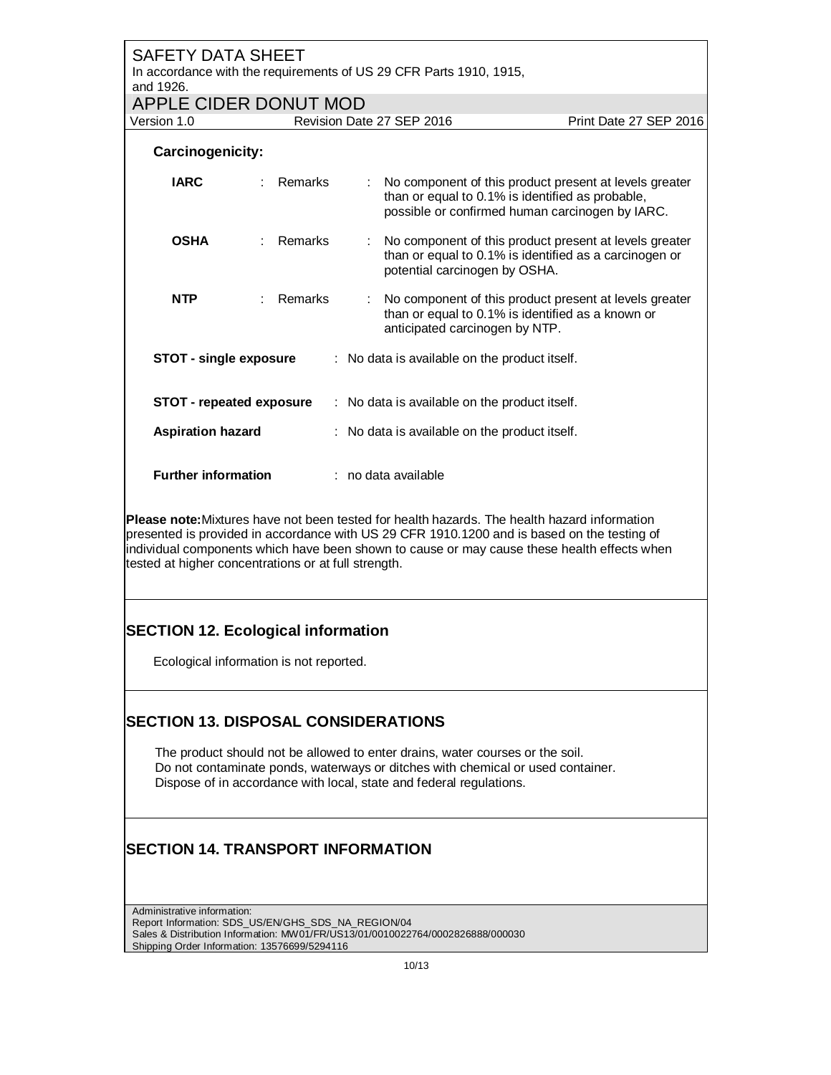| <b>SAFETY DATA SHEET</b><br>In accordance with the requirements of US 29 CFR Parts 1910, 1915,<br>and 1926.<br>APPLE CIDER DONUT MOD                                                                                                                                                                                                               |                                           |                                                                                                                                                               |                        |  |  |  |
|----------------------------------------------------------------------------------------------------------------------------------------------------------------------------------------------------------------------------------------------------------------------------------------------------------------------------------------------------|-------------------------------------------|---------------------------------------------------------------------------------------------------------------------------------------------------------------|------------------------|--|--|--|
| Version 1.0                                                                                                                                                                                                                                                                                                                                        | Revision Date 27 SEP 2016                 |                                                                                                                                                               | Print Date 27 SEP 2016 |  |  |  |
| Carcinogenicity:                                                                                                                                                                                                                                                                                                                                   |                                           |                                                                                                                                                               |                        |  |  |  |
| <b>IARC</b>                                                                                                                                                                                                                                                                                                                                        | Remarks<br>÷                              | No component of this product present at levels greater<br>than or equal to 0.1% is identified as probable,<br>possible or confirmed human carcinogen by IARC. |                        |  |  |  |
| <b>OSHA</b><br>t.                                                                                                                                                                                                                                                                                                                                  | Remarks<br>÷                              | No component of this product present at levels greater<br>than or equal to 0.1% is identified as a carcinogen or<br>potential carcinogen by OSHA.             |                        |  |  |  |
| <b>NTP</b>                                                                                                                                                                                                                                                                                                                                         | Remarks                                   | No component of this product present at levels greater<br>than or equal to 0.1% is identified as a known or<br>anticipated carcinogen by NTP.                 |                        |  |  |  |
| <b>STOT - single exposure</b><br><b>STOT - repeated exposure</b>                                                                                                                                                                                                                                                                                   |                                           | : No data is available on the product itself.                                                                                                                 |                        |  |  |  |
|                                                                                                                                                                                                                                                                                                                                                    |                                           | : No data is available on the product itself.                                                                                                                 |                        |  |  |  |
| <b>Aspiration hazard</b>                                                                                                                                                                                                                                                                                                                           |                                           | : No data is available on the product itself.                                                                                                                 |                        |  |  |  |
| <b>Further information</b>                                                                                                                                                                                                                                                                                                                         | : no data available                       |                                                                                                                                                               |                        |  |  |  |
| Please note: Mixtures have not been tested for health hazards. The health hazard information<br>presented is provided in accordance with US 29 CFR 1910.1200 and is based on the testing of<br>individual components which have been shown to cause or may cause these health effects when<br>tested at higher concentrations or at full strength. |                                           |                                                                                                                                                               |                        |  |  |  |
|                                                                                                                                                                                                                                                                                                                                                    | <b>SECTION 12. Ecological information</b> |                                                                                                                                                               |                        |  |  |  |
| Ecological information is not reported.                                                                                                                                                                                                                                                                                                            |                                           |                                                                                                                                                               |                        |  |  |  |
| <b>SECTION 13. DISPOSAL CONSIDERATIONS</b><br>The product should not be allowed to enter drains, water courses or the soil.<br>Do not contaminate ponds, waterways or ditches with chemical or used container.<br>Dispose of in accordance with local, state and federal regulations.                                                              |                                           |                                                                                                                                                               |                        |  |  |  |
| <b>SECTION 14. TRANSPORT INFORMATION</b>                                                                                                                                                                                                                                                                                                           |                                           |                                                                                                                                                               |                        |  |  |  |
| Administrative information:<br>Report Information: SDS_US/EN/GHS_SDS_NA_REGION/04<br>Sales & Distribution Information: MW01/FR/US13/01/0010022764/0002826888/000030                                                                                                                                                                                |                                           |                                                                                                                                                               |                        |  |  |  |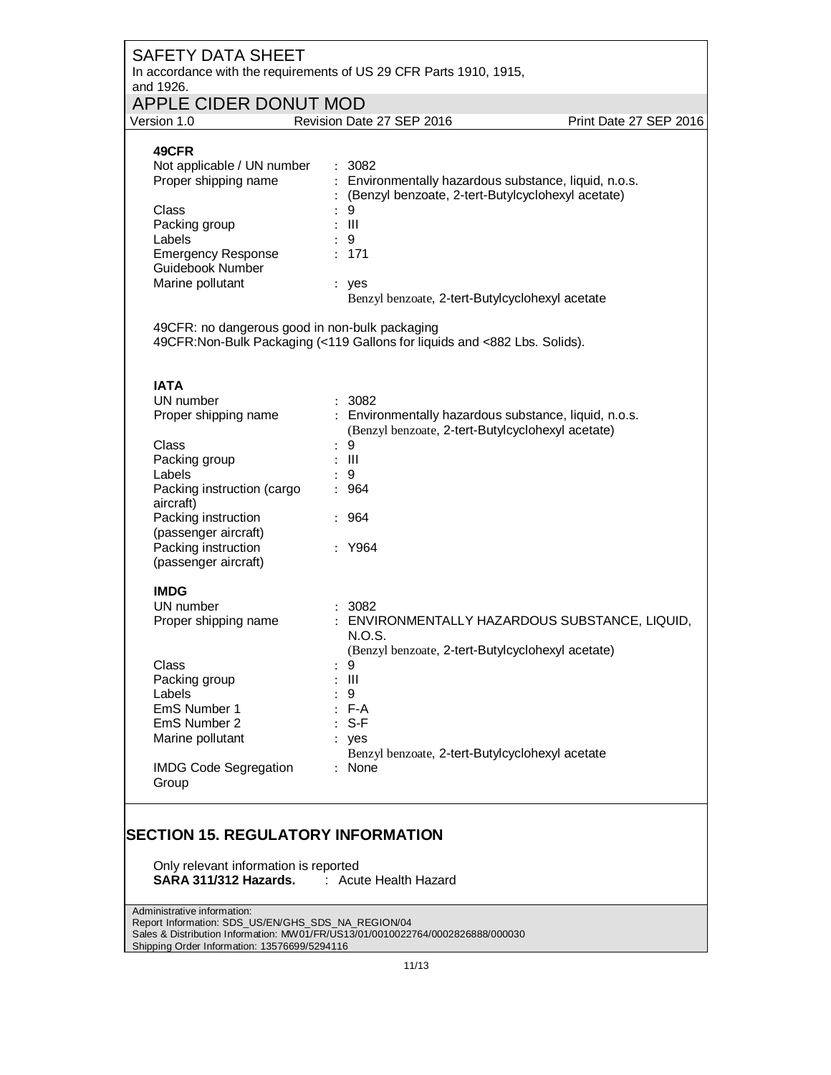| <b>SAFETY DATA SHEET</b><br>and 1926.                                                        | In accordance with the requirements of US 29 CFR Parts 1910, 1915,                                                          |                        |
|----------------------------------------------------------------------------------------------|-----------------------------------------------------------------------------------------------------------------------------|------------------------|
| <b>APPLE CIDER DONUT MOD</b>                                                                 |                                                                                                                             |                        |
| Version 1.0                                                                                  | Revision Date 27 SEP 2016                                                                                                   | Print Date 27 SEP 2016 |
| 49CFR<br>Not applicable / UN number<br>Proper shipping name<br>Class                         | : 3082<br>: Environmentally hazardous substance, liquid, n.o.s.<br>: (Benzyl benzoate, 2-tert-Butylcyclohexyl acetate)<br>9 |                        |
| Packing group<br>Labels<br><b>Emergency Response</b><br>Guidebook Number<br>Marine pollutant | $\therefore$ III<br>: 9<br>: 171<br>: yes                                                                                   |                        |
|                                                                                              | Benzyl benzoate, 2-tert-Butylcyclohexyl acetate                                                                             |                        |
| 49CFR: no dangerous good in non-bulk packaging                                               | 49CFR: Non-Bulk Packaging (<119 Gallons for liquids and <882 Lbs. Solids).                                                  |                        |
| <b>IATA</b>                                                                                  |                                                                                                                             |                        |
| UN number<br>Proper shipping name                                                            | : 3082<br>: Environmentally hazardous substance, liquid, n.o.s.<br>(Benzyl benzoate, 2-tert-Butylcyclohexyl acetate)        |                        |
| Class<br>Packing group<br>Labels                                                             | $\ddot{\cdot}$<br>9<br>$:$ $\mathbb{H}$<br>$\therefore$ 9                                                                   |                        |
| Packing instruction (cargo<br>aircraft)                                                      | : 964                                                                                                                       |                        |
| Packing instruction<br>(passenger aircraft)<br>Packing instruction                           | : 964<br>: Y964                                                                                                             |                        |
| (passenger aircraft)                                                                         |                                                                                                                             |                        |
| <b>IMDG</b>                                                                                  |                                                                                                                             |                        |
| UN number                                                                                    | : 3082                                                                                                                      |                        |
| Proper shipping name                                                                         | : ENVIRONMENTALLY HAZARDOUS SUBSTANCE, LIQUID,<br>N.O.S.<br>(Benzyl benzoate, 2-tert-Butylcyclohexyl acetate)               |                        |
| Class                                                                                        | 9                                                                                                                           |                        |
| Packing group                                                                                | $\mathbf{III}$                                                                                                              |                        |
| Labels                                                                                       | 9                                                                                                                           |                        |
| EmS Number 1                                                                                 | $: F-A$                                                                                                                     |                        |
| EmS Number 2                                                                                 | $S-F$                                                                                                                       |                        |
| Marine pollutant                                                                             | : yes<br>Benzyl benzoate, 2-tert-Butylcyclohexyl acetate                                                                    |                        |
| <b>IMDG Code Segregation</b><br>Group                                                        | : None                                                                                                                      |                        |

## **SECTION 15. REGULATORY INFORMATION**

Only relevant information is reported **SARA 311/312 Hazards.** : Acute Health Hazard

Administrative information: Report Information: SDS\_US/EN/GHS\_SDS\_NA\_REGION/04 Sales & Distribution Information: MW01/FR/US13/01/0010022764/0002826888/000030 Shipping Order Information: 13576699/5294116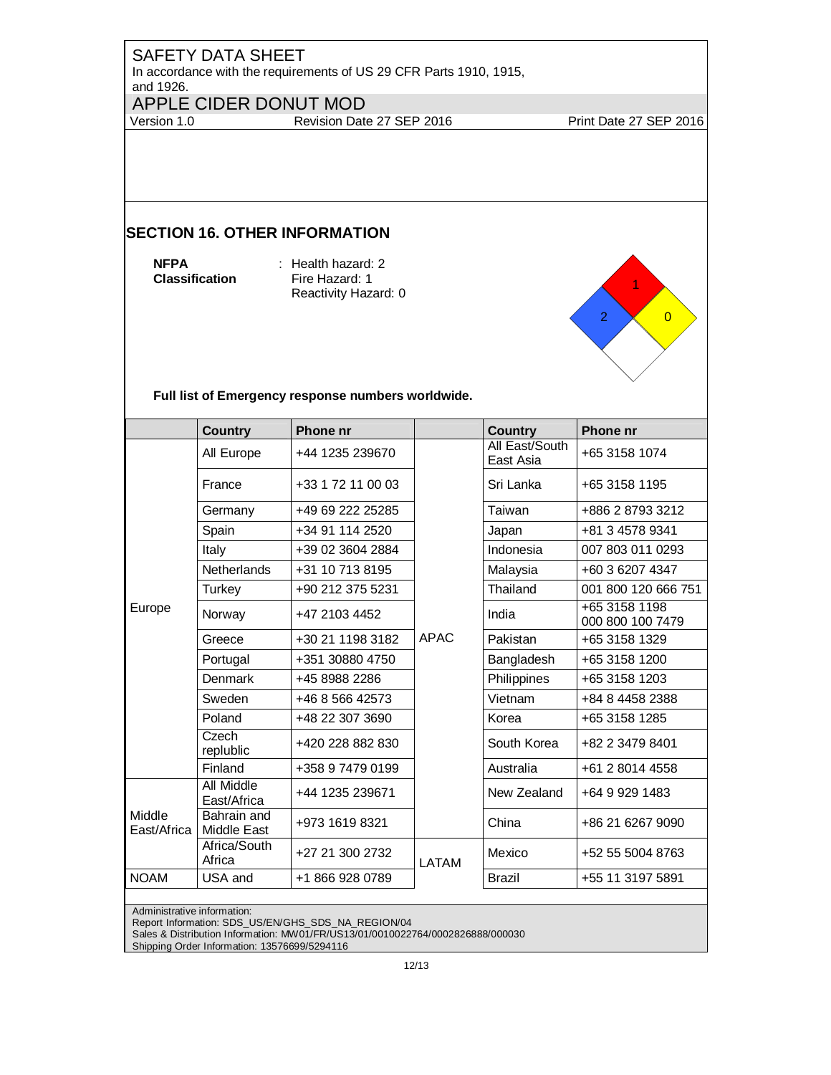In accordance with the requirements of US 29 CFR Parts 1910, 1915, and 1926.

## APPLE CIDER DONUT MOD<br>Version 1.0 Revision Dat

Revision Date 27 SEP 2016 Print Date 27 SEP 2016

## **SECTION 16. OTHER INFORMATION**

**NFPA Classification**  : Health hazard: 2 Fire Hazard: 1 Reactivity Hazard: 0



**Full list of Emergency response numbers worldwide.** 

|                       | <b>Country</b>             | <b>Phone nr</b>   |             | <b>Country</b>              | <b>Phone nr</b>                   |
|-----------------------|----------------------------|-------------------|-------------|-----------------------------|-----------------------------------|
| Europe                | All Europe                 | +44 1235 239670   |             | All East/South<br>East Asia | +65 3158 1074                     |
|                       | France                     | +33 1 72 11 00 03 |             | Sri Lanka                   | +65 3158 1195                     |
|                       | Germany                    | +49 69 222 25285  |             | Taiwan                      | +886 2 8793 3212                  |
|                       | Spain                      | +34 91 114 2520   |             | Japan                       | +81 3 4578 9341                   |
|                       | Italy                      | +39 02 3604 2884  |             | Indonesia                   | 007 803 011 0293                  |
|                       | <b>Netherlands</b>         | +31 10 713 8195   |             | Malaysia                    | +60 3 6207 4347                   |
|                       | <b>Turkey</b>              | +90 212 375 5231  |             | Thailand                    | 001 800 120 666 751               |
|                       | Norway                     | +47 2103 4452     |             | India                       | +65 3158 1198<br>000 800 100 7479 |
|                       | Greece                     | +30 21 1198 3182  | <b>APAC</b> | Pakistan                    | +65 3158 1329                     |
|                       | Portugal                   | +351 30880 4750   |             | Bangladesh                  | +65 3158 1200                     |
|                       | Denmark                    | +45 8988 2286     |             | Philippines                 | +65 3158 1203                     |
|                       | Sweden                     | +46 8 566 42573   |             | Vietnam                     | +84 8 4458 2388                   |
|                       | Poland                     | +48 22 307 3690   |             | Korea                       | +65 3158 1285                     |
|                       | Czech<br>replublic         | +420 228 882 830  |             | South Korea                 | +82 2 3479 8401                   |
|                       | Finland                    | +358 9 7479 0199  |             | Australia                   | +61 2 8014 4558                   |
| Middle<br>East/Africa | All Middle<br>East/Africa  | +44 1235 239671   |             | New Zealand                 | +64 9 929 1483                    |
|                       | Bahrain and<br>Middle East | +973 1619 8321    |             | China                       | +86 21 6267 9090                  |
|                       | Africa/South<br>Africa     | +27 21 300 2732   | LATAM       | Mexico                      | +52 55 5004 8763                  |
| <b>NOAM</b>           | USA and                    | +1 866 928 0789   |             | <b>Brazil</b>               | +55 11 3197 5891                  |

Administrative information:

Report Information: SDS\_US/EN/GHS\_SDS\_NA\_REGION/04

Sales & Distribution Information: MW01/FR/US13/01/0010022764/0002826888/000030